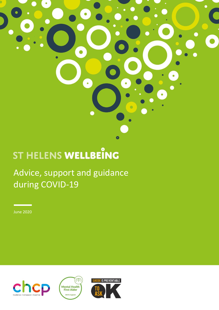# ST HELENS WELLBEING

Advice, support and guidance during COVID-19

 $\bullet$ 

June 2020





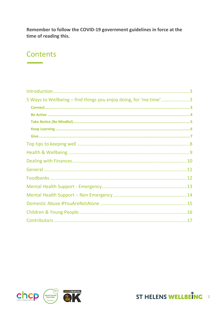Remember to follow the COVID-19 government guidelines in force at the time of reading this.

# **Contents**

| 5 Ways to Wellbeing – find things you enjoy doing, for 'me time'3 |  |
|-------------------------------------------------------------------|--|
|                                                                   |  |
|                                                                   |  |
|                                                                   |  |
|                                                                   |  |
|                                                                   |  |
|                                                                   |  |
|                                                                   |  |
|                                                                   |  |
|                                                                   |  |
|                                                                   |  |
|                                                                   |  |
|                                                                   |  |
|                                                                   |  |
|                                                                   |  |
|                                                                   |  |



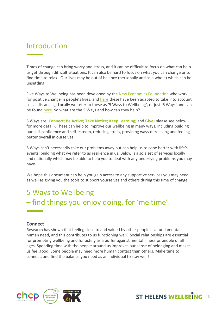# <span id="page-2-0"></span>Introduction

Times of change can bring worry and stress, and it can be difficult to focus on what can help us get through difficult situations. It can also be hard to focus on what you can change or to find time to relax. Our lives may be out of balance (personally and as a whole) which can be unsettling.

Five Ways to Wellbeing has been developed by the [New Economics Foundation](https://neweconomics.org/) who work for positive change in people's lives, and [here](https://neweconomics.org/2020/03/five-ways-to-wellbeing-at-a-time-of-social-distancing) these have been adapted to take into account social distancing. Locally we refer to these as '5 Ways to Wellbeing', or just '5 Ways' and can be found [here.](https://www.sthelenswellbeing.org.uk/services/mental-wellbeing) So what are the 5 Ways and how can they help?

5 Ways are: **Connect; Be Active; Take Notice; Keep Learning;** and **Give** (please see below for more detail). These can help to improve our wellbeing in many ways, including building our self-confidence and self-esteem, reducing stress, providing ways of relaxing and feeling better overall in ourselves.

5 Ways can't necessarily take our problems away but can help us to cope better with life's events, building what we refer to as resilience in us. Below is also a set of services locally and nationally which may be able to help you to deal with any underlying problems you may have.

We hope this document can help you gain access to any supportive services you may need, as well as giving you the tools to support yourselves and others during this time of change.

# <span id="page-2-1"></span>5 Ways to Wellbeing – find things you enjoy doing, for 'me time'.

#### <span id="page-2-2"></span>**Connect**

Research has shown that feeling close to and valued by other people is a fundamental human need, and this contributes to us functioning well. Social relationships are essential for promoting wellbeing and for acting as a buffer against mental illnessfor people of all ages. Spending time with the people around us improves our sense of belonging and makes us feel good. Some people may need more human contact than others. Make time to connect, and find the balance you need as an individual to stay well!



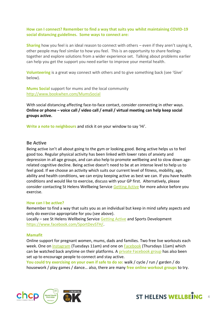**How can I connect? Remember to find a way that suits you whilst maintaining COVID-19 social distancing guidelines. Some ways to connect are:**

**Sharing** how you feel is an ideal reason to connect with others – even if they aren't saying it, other people may feel similar to how you feel. This is an opportunity to share feelings together and explore solutions from a wider experience set. Talking about problems earlier can help you get the support you need earlier to improve your mental health.

**Volunteering** is a great way connect with others and to give something back (see 'Give' below).

**Mums Social** support for mums and the local community <http://www.bookwhen.com/MumsSocial>

With social distancing affecting face-to-face contact, consider connecting in other ways. **Online or phone – voice call / video call / email / virtual meeting can help keep social groups active.**

**Write a note to neighbours** and stick it on your window to say 'Hi'.

#### <span id="page-3-0"></span>**Be Active**

Being active isn't all about going to the gym or looking good. Being active helps us to feel good too. Regular physical activity has been linked with lower rates of anxiety and depression in all age groups, and can also help to promote wellbeing and to slow down agerelated cognitive decline. Being active doesn't need to be at an intense level to help us to feel good. If we choose an activity which suits our current level of fitness, mobility, age, ability and health conditions, we can enjoy keeping active as best we can. If you have health conditions and would like to exercise, discuss with your GP first. Alternatively, please consider contacting St Helens Wellbeing Service [Getting Active](https://www.sthelenswellbeing.org.uk/services/getting-active) for more advice before you exercise.

#### **How can I be active?**

Remember to find a way that suits you as an individual but keep in mind safety aspects and only do exercise appropriate for you (see above).

Locally – see St Helens Wellbeing Service [Getting Active](https://www.sthelenswellbeing.org.uk/services/getting-active) and Sports Development [https://www.facebook.com/SportDevSTH/.](https://www.facebook.com/SportDevSTH/)

#### **Mamafit**

Online support for pregnant women, mums, dads and families. Two free live workouts each week. One on [Instagram](http://www.instagram.com/Mamafit_UK) (Tuesdays 11am) and one on [Facebook](http://www.facebook.com/MamafitUK) (Thursdays 11am) which can be watched back anytime on their platforms. A [private Facebook group](file:///C:/Users/andrew.wooding/Documents/Coronavirus/useful%20social%20media%20resources%20for%20Covid%2019/Working%20from%20Home%20Docs/Non%20CHCP%20staff/private%20Facebook%20group) has also been set up to encourage people to connect and stay active.

**You could try exercising on your own if safe to do so:** walk / cycle / run / garden / do housework / play games / dance… also, there are many **free online workout groups** to try.



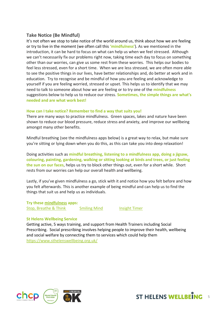## <span id="page-4-0"></span>**Take Notice (Be Mindful)**

It's not often we stop to take notice of the world around us, think about how we are feeling or try to live in the moment (we often call this **'mindfulness'**). As we mentioned in the introduction, it can be hard to focus on what can help us when we feel stressed. Although we can't necessarily fix our problems right now, taking time each day to focus on something other than our worries, can give us some rest from these worries. This helps our bodies to feel less stressed, even for a short time. When we are less stressed, we are often more able to see the positive things in our lives, have better relationships and, do better at work and in education. Try to recognise and be mindful of how you are feeling and acknowledge to yourself if you are feeling worried, stressed or upset. This helps us to identify that we may need to talk to someone about how we are feeling or to try one of the **mindfulness** suggestions below to help us to reduce our stress. **Sometimes, the simple things are what's needed and are what work best!**

#### **How can I take notice? Remember to find a way that suits you!**

There are many ways to practice mindfulness. Green spaces, lakes and nature have been shown to reduce our blood pressure, reduce stress and anxiety, and improve our wellbeing amongst many other benefits.

Mindful breathing (see the mindfulness apps below) is a great way to relax, but make sure you're sitting or lying down when you do this, as this can take you into deep relaxation!

Doing activities such as **mindful breathing, listening to a mindfulness app, doing a jigsaw, colouring, painting, gardening, walking or sitting looking at birds and trees, or just feeling the sun on our faces**, helps us try to block other things out, even for a short while. Short rests from our worries can help our overall health and wellbeing.

Lastly, if you've given mindfulness a go, stick with it and notice how you felt before and how you felt afterwards. This is another example of being mindful and can help us to find the things that suit us and help us as individuals.

**Try these [mindfulness](https://www.sthelenswellbeing.org.uk/services/mental-wellbeing/pages/mindfulness) apps:** [Stop, Breathe & Think](https://www.stopbreathethink.com/) [Smiling Mind](https://www.smilingmind.com.au/) [Insight Timer](https://insighttimer.com/insighttimer)

#### **St Helens Wellbeing Service**

Getting active, 5 ways training, and support from Health Trainers including Social Prescribing. Social prescribing involves helping people to improve their health, wellbeing and social welfare by connecting them to services which could help them <https://www.sthelenswellbeing.org.uk/>



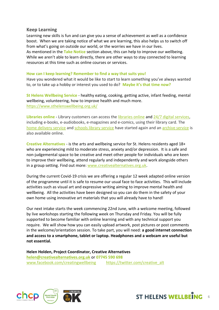#### <span id="page-5-0"></span>**Keep Learning**

Learning new skills is fun and can give you a sense of achievement as well as a confidence boost. When we are taking notice of what we are learning, this also helps us to switch off from what's going on outside our world, or the worries we have in our lives. As mentioned in the **Take Notice** section above, this can help to improve our wellbeing. While we aren't able to learn directly, there are other ways to stay connected to learning resources at this time such as online courses or services.

#### **How can I keep learning? Remember to find a way that suits you!**

Have you wondered what it would be like to start to learn something you've always wanted to, or to take up a hobby or interest you used to do? **Maybe it's that time now?**

**St Helens Wellbeing Service** - healthy eating, cooking, getting active, infant feeding, mental wellbeing, volunteering, how to improve health and much more. <https://www.sthelenswellbeing.org.uk/>

**Libraries online** - Library customers can access the [libraries online](https://www.sthelens.gov.uk/libraries/24-hour-library-services-online/) and [24/7 digital services,](https://sthlibrarieswp.koha-ptfs.co.uk/) including e-books, e-audiobooks, e-magazines and e-comics, using their library card. The [home delivery service](https://www.sthelens.gov.uk/libraries/home-delivery-service/) and [schools library service](https://www.sthelens.gov.uk/libraries/schools-library-service/) have started again and a[n archive service](https://www.sthelens.gov.uk/libraries/archive-service/) is also available online.

**Creative Alternatives** - is the arts and wellbeing service for St. Helens residents aged 18+ who are experiencing mild to moderate stress, anxiety and/or depression. It is a safe and non-judgemental space to be creative and meet other people for individuals who are keen to improve their wellbeing, attend regularly and independently and work alongside others in a group setting. Find out more: [www.creativealternatives.org.uk.](https://www.creativealternatives.org.uk/)

During the current Covid-19 crisis we are offering a regular 12 week adapted online version of the programme until it is safe to resume our usual face to face activities. This will include activities such as visual art and expressive writing aiming to improve mental health and wellbeing. All the activities have been designed so you can do them in the safety of your own home using innovative art materials that you will already have to hand!

Our next intake starts the week commencing 22nd June, with a welcome meeting, followed by live workshops starting the following week on Thursday and Friday. You will be fully supported to become familiar with online learning and with any technical support you require. We will show how you can easily upload artwork, post pictures or post comments in the welcome/orientation session. To take part, you will need: **a good internet connection and access to a smartphone, tablet or laptop. Headphones and a webcam are useful but not essential.**

**Helen Holden, Project Coordinator, Creative Alternatives [helen@creativealternatives.org.uk](mailto:helen@creativealternatives.org.uk)** or **07745 590 698** [www.facebook.com/creatingwellbeing](http://www.facebook.com/creatingwellbeing) [https://twitter.com/creative\\_alt](https://twitter.com/creative_alt)



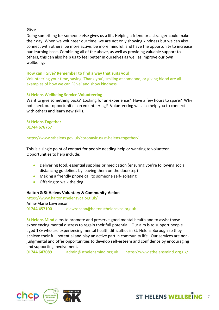#### <span id="page-6-0"></span>**Give**

Doing something for someone else gives us a lift. Helping a friend or a stranger could make their day. When we volunteer our time, we are not only showing kindness but we can also connect with others, be more active, be more mindful, and have the opportunity to increase our learning base. Combining all of the above, as well as providing valuable support to others, this can also help us to feel better in ourselves as well as improve our own wellbeing.

#### **How can I Give? Remember to find a way that suits you!**

Volunteering your time, saying 'Thank you', smiling at someone, or giving blood are all examples of how we can 'Give' and show kindness.

#### **St Helens Wellbeing Servic[e Volunteering](https://www.sthelenswellbeing.org.uk/services/volunteering)**

Want to give something back? Looking for an experience? Have a few hours to spare? Why not check out opportunities on volunteering? Volunteering will also help you to connect with others and learn new skills.

#### **St Helens Together 01744 676767**

#### <https://www.sthelens.gov.uk/coronavirus/st-helens-together/>

This is a single point of contact for people needing help or wanting to volunteer. Opportunities to help include:

- Delivering food, essential supplies or medication (ensuring you're following social distancing guidelines by leaving them on the doorstep)
- Making a friendly phone call to someone self-isolating
- Offering to walk the dog

#### **Halton & St Helens Voluntary & Community Action**

<https://www.haltonsthelensvca.org.uk/> Anne-Marie Lawrenson **01744 457100** [alawrenson@haltonsthelensvca.org.uk](mailto:alawrenson@haltonsthelensvca.org.uk)

**St Helens Mind** aims to promote and preserve good mental health and to assist those experiencing mental distress to regain their full potential. Our aim is to support people aged 18+ who are experiencing mental health difficulties in St. Helens Borough so they achieve their full potential and play an active part in community life. Our services are nonjudgmental and offer opportunities to develop self-esteem and confidence by encouraging and supporting involvement.

**01744 647089** [admin@sthelensmind.org.uk](mailto:admin@sthelensmind.org.uk) https://www.sthelensmind.org.uk/



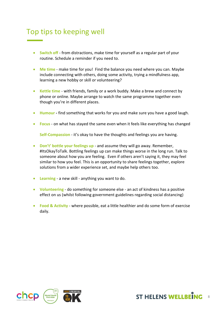# <span id="page-7-0"></span>Top tips to keeping well

- **Switch off** from distractions, make time for yourself as a regular part of your routine. Schedule a reminder if you need to.
- **Me time** make time for you! Find the balance you need where you can. Maybe include connecting with others, doing some activity, trying a mindfulness app, learning a new hobby or skill or volunteering?
- **Kettle time** with friends, family or a work buddy. Make a brew and connect by phone or online. Maybe arrange to watch the same programme together even though you're in different places.
- **Humour -** find something that works for you and make sure you have a good laugh.
- **Focus** on what has stayed the same even when it feels like everything has changed

**Self-Compassion** - it's okay to have the thoughts and feelings you are having.

- **Don't' bottle your feelings up** and assume they will go away. Remember, #ItsOkayToTalk. Bottling feelings up can make things worse in the long run. Talk to someone about how you are feeling. Even if others aren't saying it, they may feel similar to how you feel. This is an opportunity to share feelings together, explore solutions from a wider experience set, and maybe help others too.
- **Learning** a new skill anything you want to do.
- **Volunteering** do something for someone else an act of kindness has a positive effect on us (whilst following government guidelines regarding social distancing)
- **Food & Activity**  where possible, eat a little healthier and do some form of exercise daily.



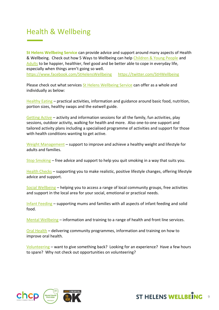# <span id="page-8-0"></span>Health & Wellbeing

**St Helens Wellbeing Service** can provide advice and support around many aspects of Health & Wellbeing. Check out how 5 Ways to Wellbeing can help [Children & Young People](https://www.sthelenswellbeing.org.uk/services/mental-wellbeing/pages/5-ways-to-wellbeing-for-children) and [Adults](https://www.sthelenswellbeing.org.uk/services/mental-wellbeing/pages/5-ways-to-wellbeing-for-adults) to be happier, healthier, feel good and be better able to cope in everyday life, especially when things aren't going so well.

<https://www.facebook.com/StHelensWellbeing> <https://twitter.com/StHWellbeing>

Please check out what services [St Helens Wellbeing Service](https://www.sthelenswellbeing.org.uk/) can offer as a whole and individually as below:

[Healthy Eating](https://www.sthelenswellbeing.org.uk/services/healthy-eating) – practical activities, information and guidance around basic food, nutrition, portion sizes, healthy swaps and the eatwell guide.

[Getting Active](https://www.sthelenswellbeing.org.uk/services/getting-active) – activity and information sessions for all the family, fun activities, play sessions, outdoor activity, walking for health and more. Also one-to-one support and tailored activity plans including a specialised programme of activities and support for those with health conditions wanting to get active.

[Weight Management](https://www.sthelenswellbeing.org.uk/services/weight-management) – support to improve and achieve a healthy weight and lifestyle for adults and families.

[Stop Smoking](https://www.sthelenswellbeing.org.uk/services/stop-smoking) – free advice and support to help you quit smoking in a way that suits you.

[Health Checks](https://www.sthelenswellbeing.org.uk/services/health-checks) – supporting you to make realistic, positive lifestyle changes, offering lifestyle advice and support.

[Social Wellbeing](https://www.sthelenswellbeing.org.uk/services/social-wellbeing) – helping you to access a range of local community groups, free activities and support in the local area for your social, emotional or practical needs.

[Infant Feeding](https://www.sthelenswellbeing.org.uk/services/infant-feeding) – supporting mums and families with all aspects of infant feeding and solid food.

[Mental Wellbeing](https://www.sthelenswellbeing.org.uk/services/mental-wellbeing) – information and training to a range of health and front line services.

[Oral Health](https://www.sthelenswellbeing.org.uk/services/oral-health) – delivering community programmes, information and training on how to improve oral health.

[Volunteering](https://www.sthelenswellbeing.org.uk/services/volunteering) – want to give something back? Looking for an experience? Have a few hours to spare? Why not check out opportunities on volunteering?



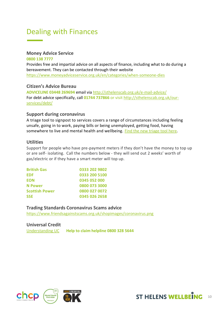# <span id="page-9-0"></span>Dealing with Finances

#### **Money Advice Service**

**0800 138 7777** Provides free and impartial advice on all aspects of finance, including what to do during a bereavement. They can be contacted through their website <https://www.moneyadviceservice.org.uk/en/categories/when-someone-dies>

#### **Citizen's Advice Bureau**

**ADVICELINE 03448 269694** email via<http://sthelenscab.org.uk/e-mail-advice/> For debt advice specifically, call **01744 737866** or visit [http://sthelenscab.org.uk/our](http://sthelenscab.org.uk/our-services/debt/)[services/debt/](http://sthelenscab.org.uk/our-services/debt/)

#### **Support during coronavirus**

A triage tool to signpost to services covers a range of circumstances including feeling unsafe, going in to work, paying bills or being unemployed, getting food, having somewhere to live and mental health and wellbeing. [Find the new triage tool](https://www.gov.uk/find-coronavirus-support) here.

#### **Utilities**

Support for people who have pre-payment meters if they don't have the money to top up or are self- isolating. Call the numbers below - they will send out 2 weeks' worth of gas/electric or if they have a smart meter will top up.

| <b>British Gas</b>    | 0333 202 9802 |
|-----------------------|---------------|
| <b>EDF</b>            | 0333 200 5100 |
| <b>EON</b>            | 0345 052 000  |
| <b>N</b> Power        | 0800 073 3000 |
| <b>Scottish Power</b> | 0800 027 0072 |
| <b>SSE</b>            | 0345 026 2658 |

# **Trading Standards Coronavirus Scams advice**

<https://www.friendsagainstscams.org.uk/shopimages/coronavirus.png>

#### **Universal Credit**

[Understanding UC](https://www.understandinguniversalcredit.gov.uk/?utm_source=http%3A%2F%2Fnews.dwp.gov.uk%2Fdwplz%2F&utm_medium=email&utm_campaign=Coronavirus%20Touchbase%20special%20-%2017%20April%202020&utm_term=Coronavirus%20Touchbase%20special%20-%2017%20April%202020&utm_content=56534) **Help to claim helpline 0800 328 5644**



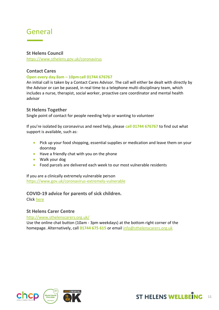# <span id="page-10-0"></span>General

### **St Helens Council**

<https://www.sthelens.gov.uk/coronavirus>

### **Contact Cares**

#### **Open every day 8am – 10pmcall 01744 676767**

An initial call is taken by a Contact Cares Advisor. The call will either be dealt with directly by the Advisor or can be passed, in real time to a telephone multi-disciplinary team, which includes a nurse, therapist, social worker, proactive care coordinator and mental health advisor

#### **St Helens Together**

Single point of contact for people needing help or wanting to volunteer

If you're isolated by coronavirus and need help, please **call 01744 676767** to find out what support is available, such as:

- Pick up your food shopping, essential supplies or medication and leave them on your doorstep
- Have a friendly chat with you on the phone
- Walk your dog
- Food parcels are delivered each week to our most vulnerable residents

If you are a clinically extremely vulnerable person <https://www.gov.uk/coronavirus-extremely-vulnerable>

#### **COVID-19 advice for parents of sick children.**

Click [here](https://www.rcpch.ac.uk/sites/default/files/2020-04/covid19_advice_for_parents_when_child_unwell_or_injured_poster.pdf)

#### **St Helens Carer Centre**

<http://www.sthelenscarers.org.uk/>

Use the online chat button (10am - 3pm weekdays) at the bottom right corner of the homepage. Alternatively, call **01744 675 615** or email [info@sthelenscarers.org.uk](mailto:info@sthelenscarers.org.uk)



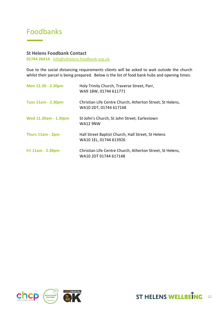# <span id="page-11-0"></span>Foodbanks

#### **St Helens Foodbank Contact**

**01744 26414** [info@sthelens.foodbank.org.uk](mailto:info@sthelens.foodbank.org.uk)

Due to the social distancing requirements clients will be asked to wait outside the church whilst their parcel is being prepared. Below is the list of food bank hubs and opening times:

| Mon 12.30 - 2.30pm        | Holy Trinity Church, Traverse Street, Parr,<br>WA9 1BW, 01744 611771                |
|---------------------------|-------------------------------------------------------------------------------------|
| <b>Tues 11am - 2.30pm</b> | Christian Life Centre Church, Atherton Street, St Helens,<br>WA10 2DT, 01744 617148 |
| Wed 11.30am - 1.30pm      | St John's Church, St John Street, Earlestown<br><b>WA12 9NW</b>                     |
| Thurs 11am - 2pm          | Hall Street Baptist Church, Hall Street, St Helens<br>WA10 1EL, 01744 613926        |
| Fri 11am - 2.30pm         | Christian Life Centre Church, Atherton Street, St Helens,<br>WA10 2DT 01744 617148  |



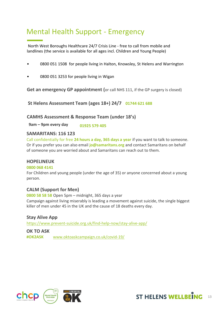# <span id="page-12-0"></span>Mental Health Support - Emergency

North West Boroughs Healthcare 24/7 Crisis Line - free to call from mobile and landlines (the service is available for all ages incl. Children and Young People)

- 0800 051 1508 for people living in Halton, Knowsley, St Helens and Warrington
- 0800 051 3253 for people living in Wigan

**Get an emergency GP appointment (**or call NHS 111, if the GP surgery is closed)

**St Helens Assessment Team (ages 18+) 24/7 01744 621 688** 

#### **CAMHS Assessment & Response Team (under 18's)**

**9am – 9pm every day 01925 579 405** 

#### **SAMARITANS: 116 123**

Call confidentially for free **24 hours a day, 365 days a year** if you want to talk to someone. Or if you prefer you can also email **jo@samaritans.org** and contact Samaritans on behalf of someone you are worried about and Samaritans can reach out to them.

#### **HOPELINEUK**

#### **0800 068 4141**

For Children and young people (under the age of 35) or anyone concerned about a young person.

#### **CALM (Support for Men)**

**0800 58 58 58** Open 5pm – midnight, 365 days a year Campaign against living miserably is leading a movement against suicide, the single biggest killer of men under 45 in the UK and the cause of 18 deaths every day.

**Stay Alive App** <https://www.prevent-suicide.org.uk/find-help-now/stay-alive-app/>

**OK TO ASK #OK2ASK** [www.oktoaskcampaign.co.uk/covid-19/](http://www.oktoaskcampaign.co.uk/covid-19/)



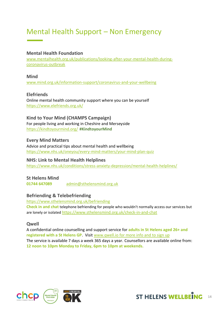# <span id="page-13-0"></span>Mental Health Support – Non Emergency

### **Mental Health Foundation**

[www.mentalhealth.org.uk/publications/looking-after-your-mental-health-during](http://www.mentalhealth.org.uk/publications/looking-after-your-mental-health-during-coronavirus-outbreak)[coronavirus-outbreak](http://www.mentalhealth.org.uk/publications/looking-after-your-mental-health-during-coronavirus-outbreak)

#### **Mind**

[www.mind.org.uk/information-support/coronavirus-and-your-wellbeing](http://www.mind.org.uk/information-support/coronavirus-and-your-wellbeing)

### **Elefriends**

Online mental health community support where you can be yourself <https://www.elefriends.org.uk/>

#### **Kind to Your Mind (CHAMPS Campaign)**

For people living and working in Cheshire and Merseyside <https://kindtoyourmind.org/> **#KindtoyourMind**

**Every Mind Matters**  Advice and practical tips about mental health and wellbeing <https://www.nhs.uk/oneyou/every-mind-matters/your-mind-plan-quiz>

#### **NHS: Link to Mental Health Helplines**

<https://www.nhs.uk/conditions/stress-anxiety-depression/mental-health-helplines/>

### **St Helens Mind**

**01744 647089** [admin@sthelensmind.org.uk](mailto:admin@sthelensmind.org.uk)

### **Befriending & Telebefriending**

<https://www.sthelensmind.org.uk/befriending> **Check in and chat** telephone befriending for people who wouldn't normally access our services but are lonely or isolated <https://www.sthelensmind.org.uk/check-in-and-chat>

#### **Qwell**

A confidential online counselling and support service for **adults in St Helens aged 26+ and registered with a St Helens GP**. Visi[t www.qwell.io](http://www.qwell.io/) for more info and to sign up The service is available 7 days a week 365 days a year. Counsellors are available online from: **12 noon to 10pm Monday to Friday, 6pm to 10pm at weekends.**

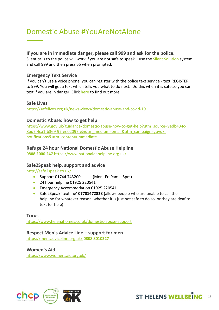# <span id="page-14-0"></span>Domestic Abuse #YouAreNotAlone

#### **If you are in immediate danger, please call 999 and ask for the police.**

Silent calls to the police will work if you are not safe to speak – use the [Silent Solution](https://www.policeconduct.gov.uk/sites/default/files/Documents/research-learning/Silent_solution_guide.pdf) system and call 999 and then press 55 when prompted.

### **Emergency Text Service**

If you can't use a voice phone, you can register with the police text service - text REGISTER to 999. You will get a text which tells you what to do next. Do this when it is safe so you can text if you are in danger. Click [here](https://www.emergencysms.net/) to find out more.

#### **Safe Lives**

<https://safelives.org.uk/news-views/domestic-abuse-and-covid-19>

### **Domestic Abuse: how to get help**

[https://www.gov.uk/guidance/domestic-abuse-how-to-get-help?utm\\_source=9edb434c-](https://www.gov.uk/guidance/domestic-abuse-how-to-get-help?utm_source=9edb434c-8bd7-4ca1-b369-97fee02097fe&utm_medium=email&utm_campaign=govuk-notifications&utm_content=immediate)[8bd7-4ca1-b369-97fee02097fe&utm\\_medium=email&utm\\_campaign=govuk](https://www.gov.uk/guidance/domestic-abuse-how-to-get-help?utm_source=9edb434c-8bd7-4ca1-b369-97fee02097fe&utm_medium=email&utm_campaign=govuk-notifications&utm_content=immediate)[notifications&utm\\_content=immediate](https://www.gov.uk/guidance/domestic-abuse-how-to-get-help?utm_source=9edb434c-8bd7-4ca1-b369-97fee02097fe&utm_medium=email&utm_campaign=govuk-notifications&utm_content=immediate)

### **Refuge 24 hour National Domestic Abuse Helpline**

**0808 2000 247** <https://www.nationaldahelpline.org.uk/>

### **Safe2Speak help, support and advice**

<http://safe2speak.co.uk/>

- Support 01744 743200 (Mon- Fri 9am 5pm)
- 24 hour helpline 01925 220541
- **•** Emergency Accommodation 01925 220541
- Safe2Speak 'textline' **07781472828 (**allows people who are unable to call the helpline for whatever reason, whether it is just not safe to do so, or they are deaf to text for help)

**Torus** <https://www.helenahomes.co.uk/domestic-abuse-support>

#### **Respect Men's Advice Line – support for men**

<https://mensadviceline.org.uk/> **0808 8010327**

**Women's Aid** <https://www.womensaid.org.uk/>



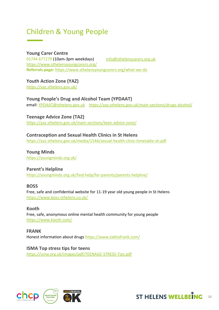# <span id="page-15-0"></span>Children & Young People

### **Young Carer Centre**

01744 677279 (10am-3pm weekdays) [info@sthelenscarers.org.uk](mailto:info@sthelenscarers.org.uk) <https://www.sthelensyoungcarers.org/> **Referrals page:** <https://www.sthelensyoungcarers.org/what-we-do>

**Youth Action Zone (YAZ)**

<https://yaz.sthelens.gov.uk/>

**Young People's Drug and Alcohol Team (YPDAAT)** email[: YPDAAT@sthelens.gov.uk](mailto:YPDAAT@sthelens.gov.uk) <https://yaz.sthelens.gov.uk/main-sections/drugs-alcohol/>

**Teenage Advice Zone (TAZ)** <https://yaz.sthelens.gov.uk/main-sections/teen-advice-zone/>

# **Contraception and Sexual Health Clinics in St Helens**

<https://yaz.sthelens.gov.uk/media/1544/sexual-health-clinic-timetable-sh.pdf>

**Young Minds** <https://youngminds.org.uk/>

### **Parent's Helpline**

<https://youngminds.org.uk/find-help/for-parents/parents-helpline/>

### **BOSS**

Free, safe and confidential website for 11-19 year old young people in St Helens <https://www.boss-sthelens.co.uk/>

**Kooth** Free, safe, anonymous online mental health community for young people <https://www.kooth.com/>

**FRANK** Honest information about drugs<https://www.talktofrank.com/>

**ISMA Top stress tips for teens**  <https://isma.org.uk/images/pdf/TEENAGE-STRESS-Tips.pdf>